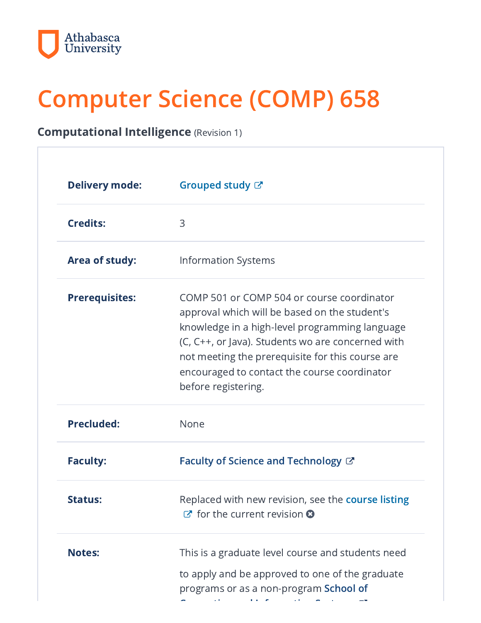

# Computer Science (COMP) 658

## Computational Intelligence (Revision 1)

| <b>Delivery mode:</b> | Grouped study &                                                                                                                                                                                                                                                                                                               |
|-----------------------|-------------------------------------------------------------------------------------------------------------------------------------------------------------------------------------------------------------------------------------------------------------------------------------------------------------------------------|
| <b>Credits:</b>       | 3                                                                                                                                                                                                                                                                                                                             |
| <b>Area of study:</b> | <b>Information Systems</b>                                                                                                                                                                                                                                                                                                    |
| <b>Prerequisites:</b> | COMP 501 or COMP 504 or course coordinator<br>approval which will be based on the student's<br>knowledge in a high-level programming language<br>(C, C++, or Java). Students wo are concerned with<br>not meeting the prerequisite for this course are<br>encouraged to contact the course coordinator<br>before registering. |
| <b>Precluded:</b>     | None                                                                                                                                                                                                                                                                                                                          |
| <b>Faculty:</b>       | Faculty of Science and Technology $\mathbb{C}^n$                                                                                                                                                                                                                                                                              |
| <b>Status:</b>        | Replaced with new revision, see the course listing<br>$\mathbb{Z}$ for the current revision $\mathbf{\Omega}$                                                                                                                                                                                                                 |
| <b>Notes:</b>         | This is a graduate level course and students need                                                                                                                                                                                                                                                                             |
|                       | to apply and be approved to one of the graduate<br>programs or as a non-program School of                                                                                                                                                                                                                                     |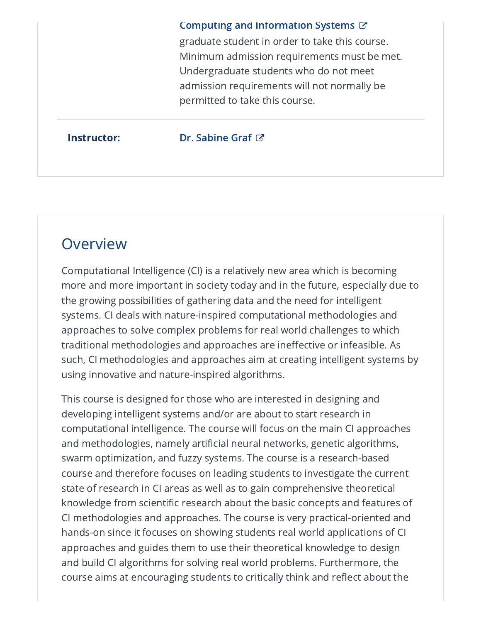#### Computing and [Information](https://www.athabascau.ca/science-and-technology/about/discover-our-academic-disciplines/school-of-computing-and-information-systems.html) Systems  $G$

graduate student in order to take this course. Minimum admission requirements must be met. Undergraduate students who do not meet admission requirements will not normally be permitted to take this course.

#### **Instructor:** Dr. [Sabine](https://www.athabascau.ca/science-and-technology/our-people/sabine-graf.html) Graf **び**

## **Overview**

Computational Intelligence (CI) is a relatively new area which is becoming more and more important in society today and in the future, especially due to the growing possibilities of gathering data and the need for intelligent systems. CI deals with nature-inspired computational methodologies and approaches to solve complex problems for real world challenges to which traditional methodologies and approaches are ineffective or infeasible. As such, CI methodologies and approaches aim at creating intelligent systems by using innovative and nature-inspired algorithms.

This course is designed for those who are interested in designing and developing intelligent systems and/or are about to start research in computational intelligence. The course will focus on the main CI approaches and methodologies, namely artificial neural networks, genetic algorithms, swarm optimization, and fuzzy systems. The course is a research-based course and therefore focuses on leading students to investigate the current state of research in CI areas as well as to gain comprehensive theoretical knowledge from scientific research about the basic concepts and features of CI methodologies and approaches. The course is very practical-oriented and hands-on since it focuses on showing students real world applications of CI approaches and guides them to use their theoretical knowledge to design and build CI algorithms for solving real world problems. Furthermore, the course aims at encouraging students to critically think and reflect about the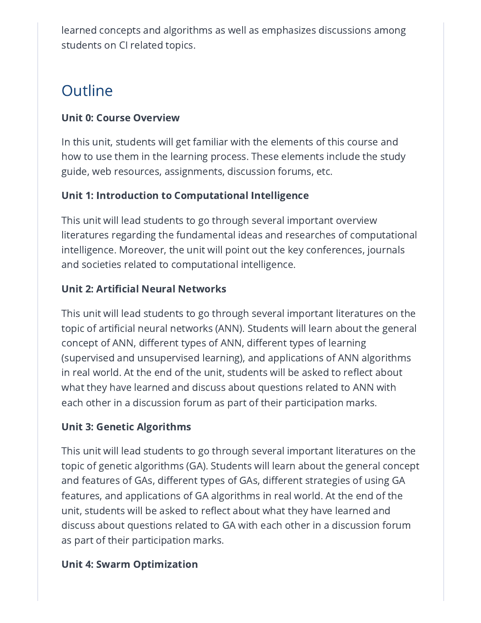learned concepts and algorithms as well as emphasizes discussions among students on CI related topics.

## **Outline**

#### Unit 0: Course Overview

In this unit, students will get familiar with the elements of this course and how to use them in the learning process. These elements include the study guide, web resources, assignments, discussion forums, etc.

### Unit 1: Introduction to Computational Intelligence

This unit will lead students to go through several important overview literatures regarding the fundamental ideas and researches of computational intelligence. Moreover, the unit will point out the key conferences, journals and societies related to computational intelligence.

### Unit 2: Artificial Neural Networks

This unit will lead students to go through several important literatures on the topic of artificial neural networks (ANN). Students will learn about the general concept of ANN, different types of ANN, different types of learning (supervised and unsupervised learning), and applications of ANN algorithms in real world. At the end of the unit, students will be asked to reflect about what they have learned and discuss about questions related to ANN with each other in a discussion forum as part of their participation marks.

#### Unit 3: Genetic Algorithms

This unit will lead students to go through several important literatures on the topic of genetic algorithms (GA). Students will learn about the general concept and features of GAs, different types of GAs, different strategies of using GA features, and applications of GA algorithms in real world. At the end of the unit, students will be asked to reflect about what they have learned and discuss about questions related to GA with each other in a discussion forum as part of their participation marks.

#### Unit 4: Swarm Optimization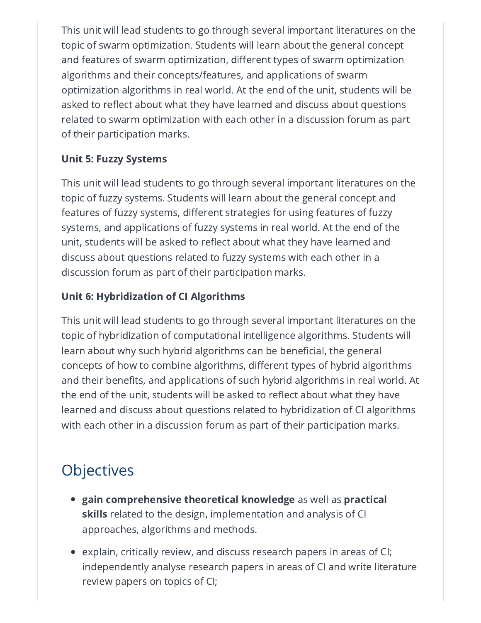This unit will lead students to go through several important literatures on the topic of swarm optimization. Students will learn about the general concept and features of swarm optimization, different types of swarm optimization algorithms and their concepts/features, and applications of swarm optimization algorithms in real world. At the end of the unit, students will be asked to reflect about what they have learned and discuss about questions related to swarm optimization with each other in a discussion forum as part of their participation marks.

### Unit 5: Fuzzy Systems

This unit will lead students to go through several important literatures on the topic of fuzzy systems. Students will learn about the general concept and features of fuzzy systems, different strategies for using features of fuzzy systems, and applications of fuzzy systems in real world. At the end of the unit, students will be asked to reflect about what they have learned and discuss about questions related to fuzzy systems with each other in a discussion forum as part of their participation marks.

#### Unit 6: Hybridization of CI Algorithms

This unit will lead students to go through several important literatures on the topic of hybridization of computational intelligence algorithms. Students will learn about why such hybrid algorithms can be beneficial, the general concepts of how to combine algorithms, different types of hybrid algorithms and their benefits, and applications of such hybrid algorithms in real world. At the end of the unit, students will be asked to reflect about what they have learned and discuss about questions related to hybridization of CI algorithms with each other in a discussion forum as part of their participation marks.

## **Objectives**

- $\bullet~$  gain comprehensive theoretical knowledge as well as practical skills related to the design, implementation and analysis of CI approaches, algorithms and methods.
- $\bullet~$  explain, critically review, and discuss research papers in areas of CI; independently analyse research papers in areas of CI and write literature review papers on topics of CI;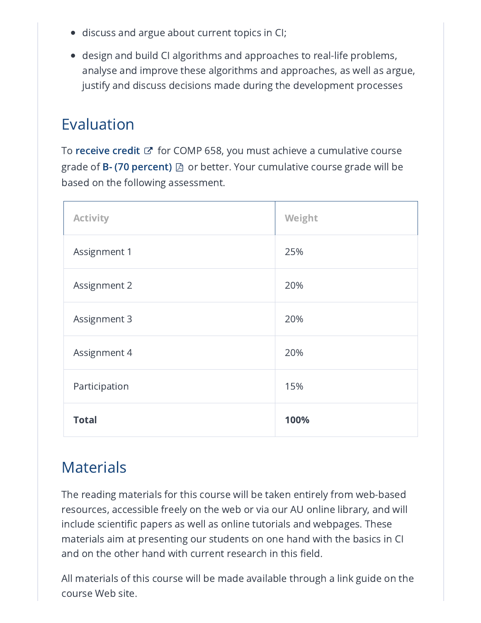- discuss and argue about current topics in CI;
- design and build CI algorithms and approaches to real-life problems, analyse and improve these algorithms and approaches, as well as argue, justify and discuss decisions made during the development processes

## Evaluation

To **[receive](http://calendar.athabascau.ca/grad/current/additional/grad-glossary.php#credit) credit**  $\mathbb{Z}^{\bullet}$  for COMP 658, you must achieve a cumulative course grade of **B- (70 [percent\)](https://ous.athabascau.ca/policy/registry/graduategrading.pdf)**  $\boxtimes$  or better. Your cumulative course grade will be based on the following assessment.

1

| <b>Activity</b>     | Weight |
|---------------------|--------|
| Assignment 1        | 25%    |
| <b>Assignment 2</b> | 20%    |
| Assignment 3        | 20%    |
| Assignment 4        | 20%    |
| Participation       | 15%    |
| <b>Total</b>        | 100%   |

## **Materials**

The reading materials for this course will be taken entirely from web-based resources, accessible freely on the web or via our AU online library, and will include scientific papers as well as online tutorials and webpages. These materials aim at presenting our students on one hand with the basics in CI and on the other hand with current research in this field.

All materials of this course will be made available through a link guide on the course Web site.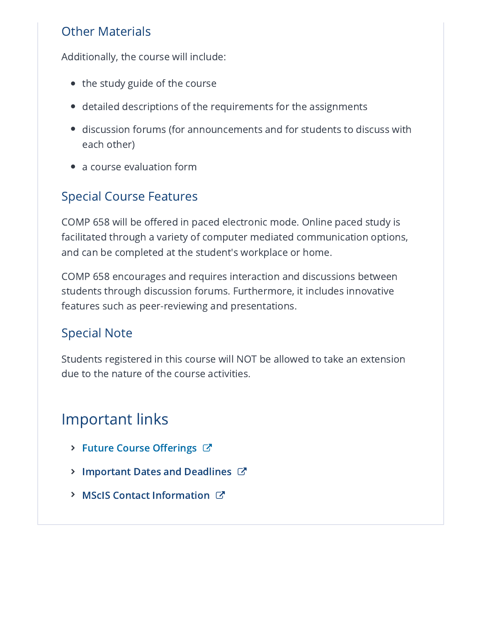## Other Materials

Additionally, the course will include:

- the study guide of the course
- detailed descriptions of the requirements for the assignments
- discussion forums (for announcements and for students to discuss with each other)
- a course evaluation form

## Special Course Features

COMP 658 will be offered in paced electronic mode. Online paced study is facilitated through a variety of computer mediated communication options, and can be completed at the student's workplace or home.

COMP 658 encourages and requires interaction and discussions between students through discussion forums. Furthermore, it includes innovative features such as peer-reviewing and presentations.

## Special Note

Students registered in this course will NOT be allowed to take an extension due to the nature of the course activities.

## Important links

- > Future Course [Offerings](https://www.athabascau.ca/science-and-technology/resources/school-of-computing-information-systems/master-of-science-in-information-systems/master-of-science-in-information-systems-course-offerings.html)  $C^*$
- **> [Important](https://www.athabascau.ca/calendar/graduate/fst/master-of-science-in-information-systems.html#academicschedule) Dates and Deadlines C'**
- **> MScIS Contact [Information](https://www.athabascau.ca/science-and-technology/about/contact-us.html) &**